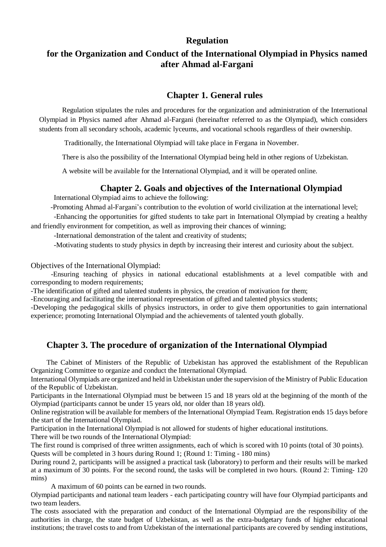## **Regulation**

# **for the Organization and Conduct of the International Olympiad in Physics named after Ahmad al-Fargani**

# **Chapter 1. General rules**

Regulation stipulates the rules and procedures for the organization and administration of the International Olympiad in Physics named after Ahmad al-Fargani (hereinafter referred to as the Olympiad), which considers students from all secondary schools, academic lyceums, and vocational schools regardless of their ownership.

Traditionally, the International Olympiad will take place in Fergana in November.

There is also the possibility of the International Olympiad being held in other regions of Uzbekistan.

A website will be available for the International Olympiad, and it will be operated online.

# **Chapter 2. Goals and objectives of the International Olympiad**

International Olympiad aims to achieve the following:

-Promoting Ahmad al-Fargani's contribution to the evolution of world civilization at the international level;

-Enhancing the opportunities for gifted students to take part in International Olympiad by creating a healthy and friendly environment for competition, as well as improving their chances of winning;

-International demonstration of the talent and creativity of students;

-Motivating students to study physics in depth by increasing their interest and curiosity about the subject.

Objectives of the International Olympiad:

-Ensuring teaching of physics in national educational establishments at a level compatible with and corresponding to modern requirements;

-The identification of gifted and talented students in physics, the creation of motivation for them;

-Encouraging and facilitating the international representation of gifted and talented physics students;

-Developing the pedagogical skills of physics instructors, in order to give them opportunities to gain international experience; promoting International Olympiad and the achievements of talented youth globally.

# **Chapter 3. The procedure of organization of the International Olympiad**

The Cabinet of Ministers of the Republic of Uzbekistan has approved the establishment of the Republican Organizing Committee to organize and conduct the International Olympiad.

International Olympiads are organized and held in Uzbekistan under the supervision of the Ministry of Public Education of the Republic of Uzbekistan.

Participants in the International Olympiad must be between 15 and 18 years old at the beginning of the month of the Olympiad (participants cannot be under 15 years old, nor older than 18 years old).

Online registration will be available for members of the International Olympiad Team. Registration ends 15 days before the start of the International Olympiad.

Participation in the International Olympiad is not allowed for students of higher educational institutions.

There will be two rounds of the International Olympiad:

The first round is comprised of three written assignments, each of which is scored with 10 points (total of 30 points). Quests will be completed in 3 hours during Round 1; (Round 1: Timing - 180 mins)

During round 2, participants will be assigned a practical task (laboratory) to perform and their results will be marked at a maximum of 30 points. For the second round, the tasks will be completed in two hours. (Round 2: Timing- 120 mins)

A maximum of 60 points can be earned in two rounds.

Olympiad participants and national team leaders - each participating country will have four Olympiad participants and two team leaders.

The costs associated with the preparation and conduct of the International Olympiad are the responsibility of the authorities in charge, the state budget of Uzbekistan, as well as the extra-budgetary funds of higher educational institutions; the travel costs to and from Uzbekistan of the international participants are covered by sending institutions,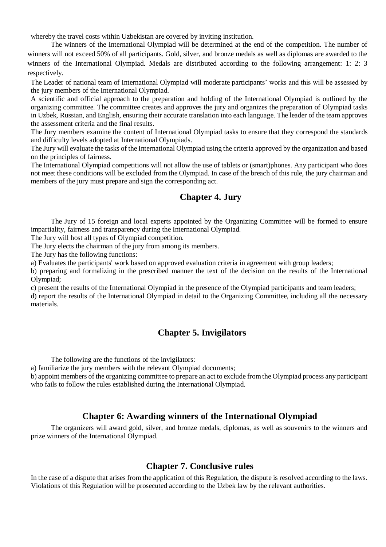whereby the travel costs within Uzbekistan are covered by inviting institution.

The winners of the International Olympiad will be determined at the end of the competition. The number of winners will not exceed 50% of all participants. Gold, silver, and bronze medals as well as diplomas are awarded to the winners of the International Olympiad. Medals are distributed according to the following arrangement: 1: 2: 3 respectively.

The Leader of national team of International Olympiad will moderate participants' works and this will be assessed by the jury members of the International Olympiad.

A scientific and official approach to the preparation and holding of the International Olympiad is outlined by the organizing committee. The committee creates and approves the jury and organizes the preparation of Olympiad tasks in Uzbek, Russian, and English, ensuring their accurate translation into each language. The leader of the team approves the assessment criteria and the final results.

The Jury members examine the content of International Olympiad tasks to ensure that they correspond the standards and difficulty levels adopted at International Olympiads.

The Jury will evaluate the tasks of the International Olympiad using the criteria approved by the organization and based on the principles of fairness.

The International Olympiad competitions will not allow the use of tablets or (smart)phones. Any participant who does not meet these conditions will be excluded from the Olympiad. In case of the breach of this rule, the jury chairman and members of the jury must prepare and sign the corresponding act.

### **Chapter 4. Jury**

The Jury of 15 foreign and local experts appointed by the Organizing Committee will be formed to ensure impartiality, fairness and transparency during the International Olympiad.

The Jury will host all types of Olympiad competition.

The Jury elects the chairman of the jury from among its members.

The Jury has the following functions:

a) Evaluates the participants' work based on approved evaluation criteria in agreement with group leaders;

b) preparing and formalizing in the prescribed manner the text of the decision on the results of the International Olympiad;

c) present the results of the International Olympiad in the presence of the Olympiad participants and team leaders; d) report the results of the International Olympiad in detail to the Organizing Committee, including all the necessary materials.

## **Chapter 5. Invigilators**

The following are the functions of the invigilators:

a) familiarize the jury members with the relevant Olympiad documents;

b) appoint members of the organizing committee to prepare an act to exclude from the Olympiad process any participant who fails to follow the rules established during the International Olympiad.

## **Chapter 6: Awarding winners of the International Olympiad**

The organizers will award gold, silver, and bronze medals, diplomas, as well as souvenirs to the winners and prize winners of the International Olympiad.

#### **Chapter 7. Conclusive rules**

In the case of a dispute that arises from the application of this Regulation, the dispute is resolved according to the laws. Violations of this Regulation will be prosecuted according to the Uzbek law by the relevant authorities.